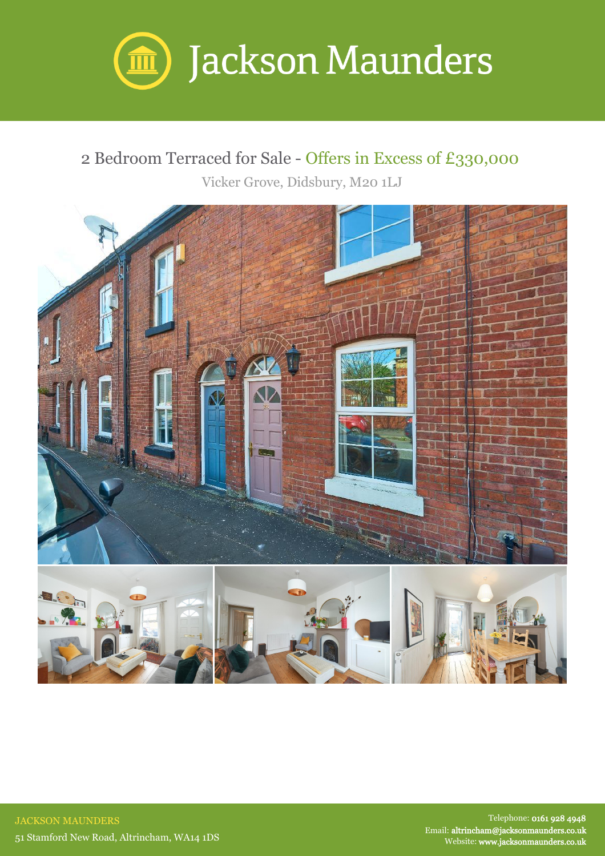

## 2 Bedroom Terraced for Sale - Offers in Excess of £330,000

Vicker Grove, Didsbury, M20 1LJ